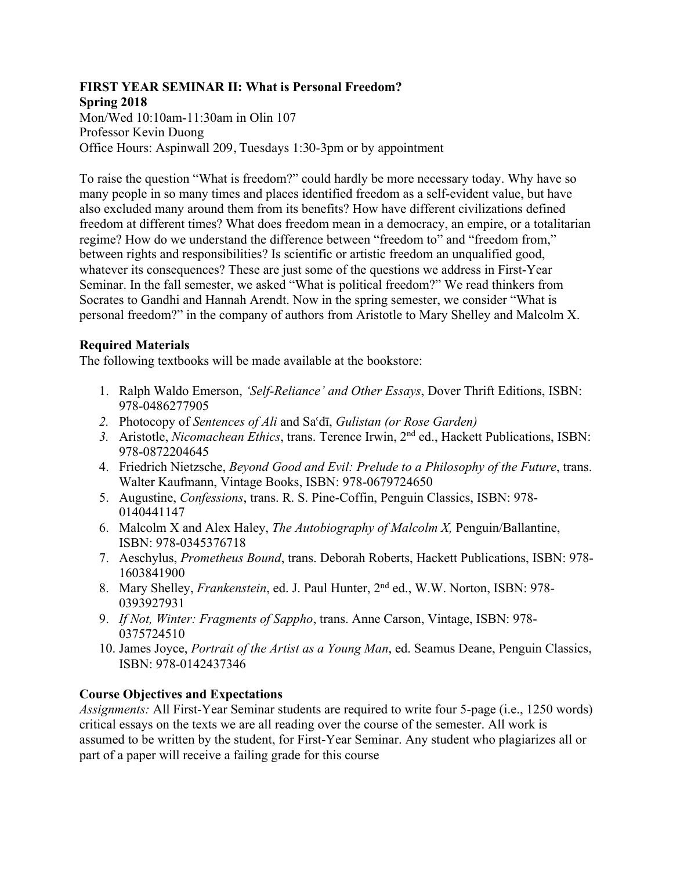# **FIRST YEAR SEMINAR II: What is Personal Freedom?**

**Spring 2018** Mon/Wed 10:10am-11:30am in Olin 107 Professor Kevin Duong Office Hours: Aspinwall 209, Tuesdays 1:30-3pm or by appointment

To raise the question "What is freedom?" could hardly be more necessary today. Why have so many people in so many times and places identified freedom as a self-evident value, but have also excluded many around them from its benefits? How have different civilizations defined freedom at different times? What does freedom mean in a democracy, an empire, or a totalitarian regime? How do we understand the difference between "freedom to" and "freedom from," between rights and responsibilities? Is scientific or artistic freedom an unqualified good, whatever its consequences? These are just some of the questions we address in First-Year Seminar. In the fall semester, we asked "What is political freedom?" We read thinkers from Socrates to Gandhi and Hannah Arendt. Now in the spring semester, we consider "What is personal freedom?" in the company of authors from Aristotle to Mary Shelley and Malcolm X.

# **Required Materials**

The following textbooks will be made available at the bookstore:

- 1. Ralph Waldo Emerson, *'Self-Reliance' and Other Essays*, Dover Thrift Editions, ISBN: 978-0486277905
- *2.* Photocopy of *Sentences of Ali* and Saʿdī, *Gulistan (or Rose Garden)*
- *3.* Aristotle, *Nicomachean Ethics*, trans. Terence Irwin, 2nd ed., Hackett Publications, ISBN: 978-0872204645
- 4. Friedrich Nietzsche, *Beyond Good and Evil: Prelude to a Philosophy of the Future*, trans. Walter Kaufmann, Vintage Books, ISBN: 978-0679724650
- 5. Augustine, *Confessions*, trans. R. S. Pine-Coffin, Penguin Classics, ISBN: 978- 0140441147
- 6. Malcolm X and Alex Haley, *The Autobiography of Malcolm X,* Penguin/Ballantine, ISBN: 978-0345376718
- 7. Aeschylus, *Prometheus Bound*, trans. Deborah Roberts, Hackett Publications, ISBN: 978- 1603841900
- 8. Mary Shelley, *Frankenstein*, ed. J. Paul Hunter, 2nd ed., W.W. Norton, ISBN: 978- 0393927931
- 9. *If Not, Winter: Fragments of Sappho*, trans. Anne Carson, Vintage, ISBN: 978- 0375724510
- 10. James Joyce, *Portrait of the Artist as a Young Man*, ed. Seamus Deane, Penguin Classics, ISBN: 978-0142437346

# **Course Objectives and Expectations**

*Assignments:* All First-Year Seminar students are required to write four 5-page (i.e., 1250 words) critical essays on the texts we are all reading over the course of the semester. All work is assumed to be written by the student, for First-Year Seminar. Any student who plagiarizes all or part of a paper will receive a failing grade for this course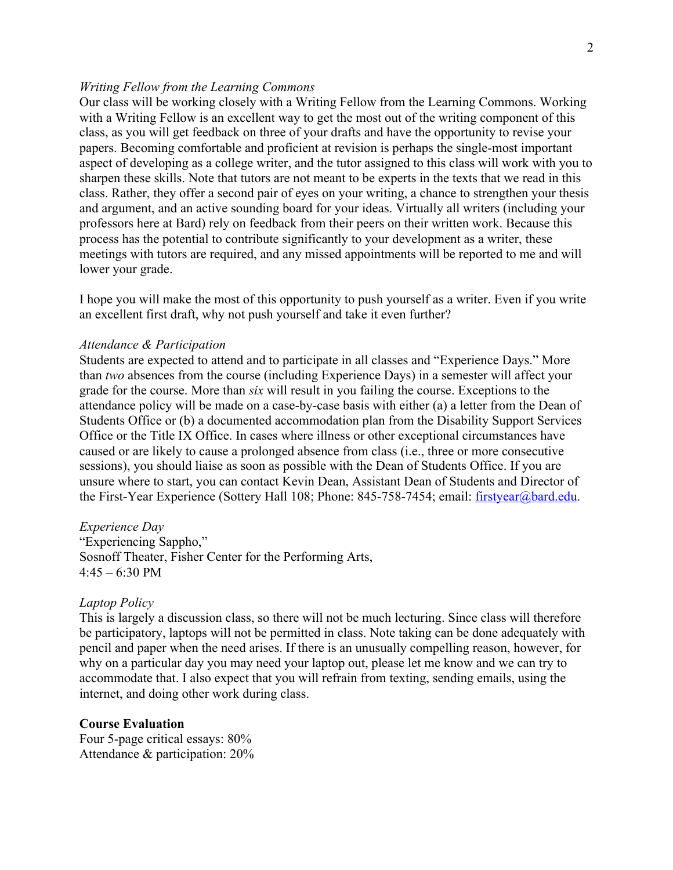## *Writing Fellow from the Learning Commons*

Our class will be working closely with a Writing Fellow from the Learning Commons. Working with a Writing Fellow is an excellent way to get the most out of the writing component of this class, as you will get feedback on three of your drafts and have the opportunity to revise your papers. Becoming comfortable and proficient at revision is perhaps the single-most important aspect of developing as a college writer, and the tutor assigned to this class will work with you to sharpen these skills. Note that tutors are not meant to be experts in the texts that we read in this class. Rather, they offer a second pair of eyes on your writing, a chance to strengthen your thesis and argument, and an active sounding board for your ideas. Virtually all writers (including your professors here at Bard) rely on feedback from their peers on their written work. Because this process has the potential to contribute significantly to your development as a writer, these meetings with tutors are required, and any missed appointments will be reported to me and will lower your grade.

I hope you will make the most of this opportunity to push yourself as a writer. Even if you write an excellent first draft, why not push yourself and take it even further?

### *Attendance & Participation*

Students are expected to attend and to participate in all classes and "Experience Days." More than *two* absences from the course (including Experience Days) in a semester will affect your grade for the course. More than *six* will result in you failing the course. Exceptions to the attendance policy will be made on a case-by-case basis with either (a) a letter from the Dean of Students Office or (b) a documented accommodation plan from the Disability Support Services Office or the Title IX Office. In cases where illness or other exceptional circumstances have caused or are likely to cause a prolonged absence from class (i.e., three or more consecutive sessions), you should liaise as soon as possible with the Dean of Students Office. If you are unsure where to start, you can contact Kevin Dean, Assistant Dean of Students and Director of the First-Year Experience (Sottery Hall 108; Phone: 845-758-7454; email: firstyear@bard.edu.

*Experience Day* "Experiencing Sappho," Sosnoff Theater, Fisher Center for the Performing Arts,  $4:45 - 6:30$  PM

#### *Laptop Policy*

This is largely a discussion class, so there will not be much lecturing. Since class will therefore be participatory, laptops will not be permitted in class. Note taking can be done adequately with pencil and paper when the need arises. If there is an unusually compelling reason, however, for why on a particular day you may need your laptop out, please let me know and we can try to accommodate that. I also expect that you will refrain from texting, sending emails, using the internet, and doing other work during class.

#### **Course Evaluation**

Four 5-page critical essays: 80% Attendance & participation: 20%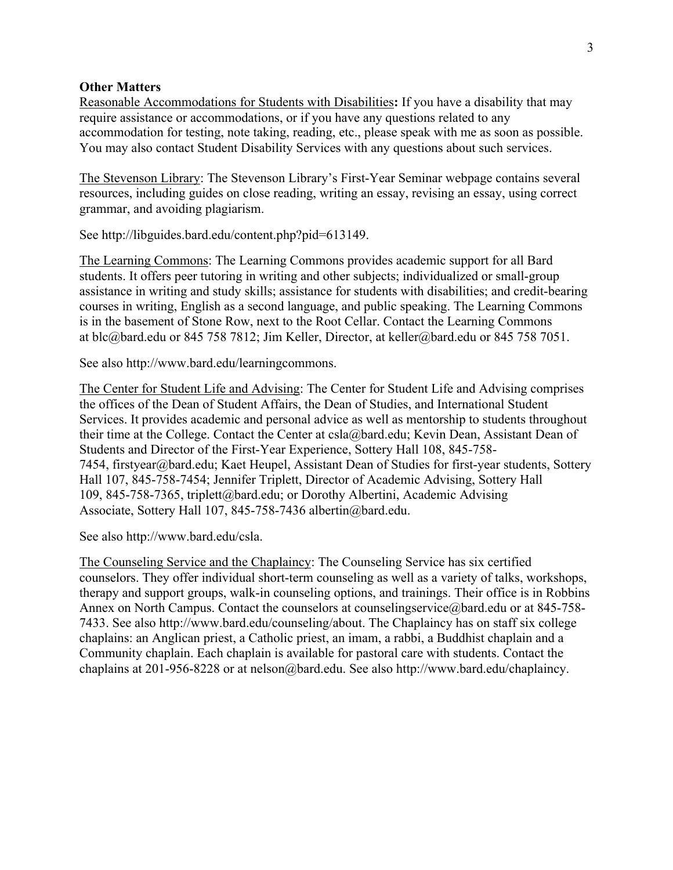## **Other Matters**

Reasonable Accommodations for Students with Disabilities**:** If you have a disability that may require assistance or accommodations, or if you have any questions related to any accommodation for testing, note taking, reading, etc., please speak with me as soon as possible. You may also contact Student Disability Services with any questions about such services.

The Stevenson Library: The Stevenson Library's First-Year Seminar webpage contains several resources, including guides on close reading, writing an essay, revising an essay, using correct grammar, and avoiding plagiarism.

See http://libguides.bard.edu/content.php?pid=613149.

The Learning Commons: The Learning Commons provides academic support for all Bard students. It offers peer tutoring in writing and other subjects; individualized or small-group assistance in writing and study skills; assistance for students with disabilities; and credit-bearing courses in writing, English as a second language, and public speaking. The Learning Commons is in the basement of Stone Row, next to the Root Cellar. Contact the Learning Commons at blc@bard.edu or 845 758 7812; Jim Keller, Director, at keller@bard.edu or 845 758 7051.

See also http://www.bard.edu/learningcommons.

The Center for Student Life and Advising: The Center for Student Life and Advising comprises the offices of the Dean of Student Affairs, the Dean of Studies, and International Student Services. It provides academic and personal advice as well as mentorship to students throughout their time at the College. Contact the Center at csla@bard.edu; Kevin Dean, Assistant Dean of Students and Director of the First-Year Experience, Sottery Hall 108, 845-758- 7454, firstyear@bard.edu; Kaet Heupel, Assistant Dean of Studies for first-year students, Sottery Hall 107, 845-758-7454; Jennifer Triplett, Director of Academic Advising, Sottery Hall 109, 845-758-7365, triplett@bard.edu; or Dorothy Albertini, Academic Advising Associate, Sottery Hall 107, 845-758-7436 albertin@bard.edu.

See also http://www.bard.edu/csla.

The Counseling Service and the Chaplaincy: The Counseling Service has six certified counselors. They offer individual short-term counseling as well as a variety of talks, workshops, therapy and support groups, walk-in counseling options, and trainings. Their office is in Robbins Annex on North Campus. Contact the counselors at counselingservice@bard.edu or at 845-758-7433. See also http://www.bard.edu/counseling/about. The Chaplaincy has on staff six college chaplains: an Anglican priest, a Catholic priest, an imam, a rabbi, a Buddhist chaplain and a Community chaplain. Each chaplain is available for pastoral care with students. Contact the chaplains at 201-956-8228 or at nelson@bard.edu. See also http://www.bard.edu/chaplaincy.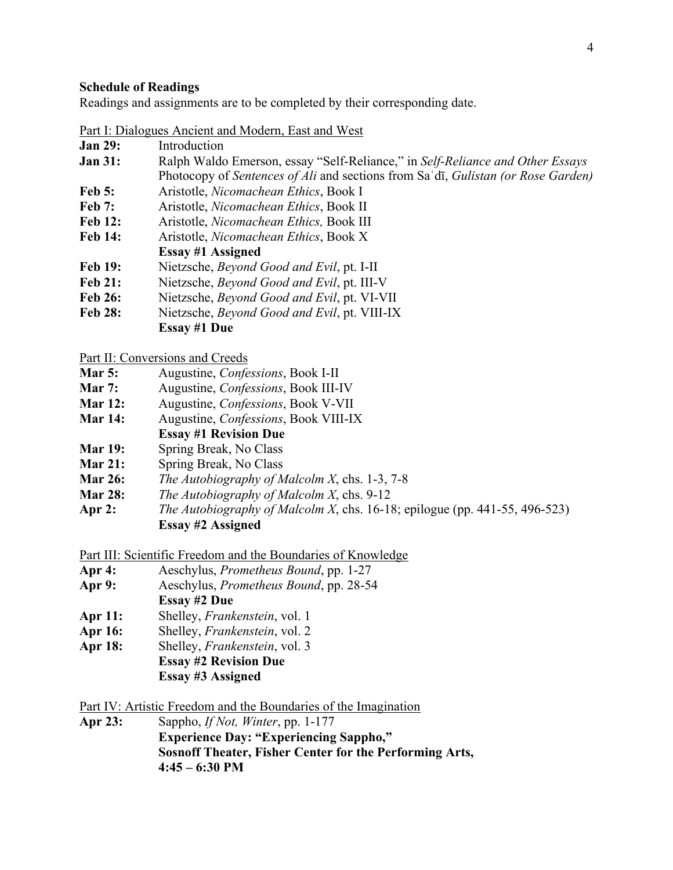#### **Schedule of Readings**

Readings and assignments are to be completed by their corresponding date.

| Part I: Dialogues Ancient and Modern, East and West |
|-----------------------------------------------------|
|-----------------------------------------------------|

- **Jan 29:** Introduction
- **Jan 31:** Ralph Waldo Emerson, essay "Self-Reliance," in *Self-Reliance and Other Essays* Photocopy of *Sentences of Ali* and sections from Saʿdī, *Gulistan (or Rose Garden)*
- **Feb 5:** Aristotle, *Nicomachean Ethics*, Book I
- **Feb 7:** Aristotle, *Nicomachean Ethics*, Book II
- **Feb 12:** Aristotle, *Nicomachean Ethics,* Book III
- **Feb 14:** Aristotle, *Nicomachean Ethics*, Book X

# **Essay #1 Assigned**

- **Feb 19:** Nietzsche, *Beyond Good and Evil*, pt. I-II
- **Feb 21:** Nietzsche, *Beyond Good and Evil*, pt. III-V
- **Feb 26:** Nietzsche, *Beyond Good and Evil*, pt. VI-VII
- **Feb 28:** Nietzsche, *Beyond Good and Evil*, pt. VIII-IX **Essay #1 Due**

Part II: Conversions and Creeds

- **Mar 5:** Augustine, *Confessions*, Book I-II
- **Mar 7:** Augustine, *Confessions*, Book III-IV
- **Mar 12:** Augustine, *Confessions*, Book V-VII
- **Mar 14:** Augustine, *Confessions*, Book VIII-IX
- **Essay #1 Revision Due**
- **Mar 19:** Spring Break, No Class
- **Mar 21:** Spring Break, No Class
- **Mar 26:** *The Autobiography of Malcolm X*, chs. 1-3, 7-8
- **Mar 28:** *The Autobiography of Malcolm X*, chs. 9-12
- **Apr 2:** *The Autobiography of Malcolm X*, chs. 16-18; epilogue (pp. 441-55, 496-523) **Essay #2 Assigned**

Part III: Scientific Freedom and the Boundaries of Knowledge

- **Apr 4:** Aeschylus, *Prometheus Bound*, pp. 1-27
- **Apr 9:** Aeschylus, *Prometheus Bound*, pp. 28-54 **Essay #2 Due**
- **Apr 11:** Shelley, *Frankenstein*, vol. 1
- **Apr 16:** Shelley, *Frankenstein*, vol. 2
- **Apr 18:** Shelley, *Frankenstein*, vol. 3
	- **Essay #2 Revision Due**
		- **Essay #3 Assigned**
- Part IV: Artistic Freedom and the Boundaries of the Imagination
- **Apr 23:** Sappho, *If Not, Winter*, pp. 1-177 **Experience Day: "Experiencing Sappho," Sosnoff Theater, Fisher Center for the Performing Arts, 4:45 – 6:30 PM**